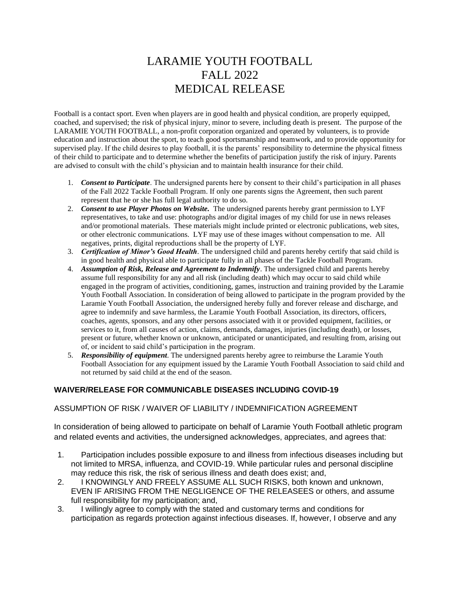## LARAMIE YOUTH FOOTBALL FALL 2022 MEDICAL RELEASE

Football is a contact sport. Even when players are in good health and physical condition, are properly equipped, coached, and supervised; the risk of physical injury, minor to severe, including death is present. The purpose of the LARAMIE YOUTH FOOTBALL, a non-profit corporation organized and operated by volunteers, is to provide education and instruction about the sport, to teach good sportsmanship and teamwork, and to provide opportunity for supervised play. If the child desires to play football, it is the parents' responsibility to determine the physical fitness of their child to participate and to determine whether the benefits of participation justify the risk of injury. Parents are advised to consult with the child's physician and to maintain health insurance for their child.

- 1. *Consent to Participate*. The undersigned parents here by consent to their child's participation in all phases of the Fall 2022 Tackle Football Program. If only one parents signs the Agreement, then such parent represent that he or she has full legal authority to do so.
- 2. *Consent to use Player Photos on Website.* The undersigned parents hereby grant permission to LYF representatives, to take and use: photographs and/or digital images of my child for use in news releases and/or promotional materials. These materials might include printed or electronic publications, web sites, or other electronic communications. LYF may use of these images without compensation to me. All negatives, prints, digital reproductions shall be the property of LYF.
- 3. *Certification of Minor's Good Health*. The undersigned child and parents hereby certify that said child is in good health and physical able to participate fully in all phases of the Tackle Football Program.
- 4. *Assumption of Risk, Release and Agreement to Indemnify*. The undersigned child and parents hereby assume full responsibility for any and all risk (including death) which may occur to said child while engaged in the program of activities, conditioning, games, instruction and training provided by the Laramie Youth Football Association. In consideration of being allowed to participate in the program provided by the Laramie Youth Football Association, the undersigned hereby fully and forever release and discharge, and agree to indemnify and save harmless, the Laramie Youth Football Association, its directors, officers, coaches, agents, sponsors, and any other persons associated with it or provided equipment, facilities, or services to it, from all causes of action, claims, demands, damages, injuries (including death), or losses, present or future, whether known or unknown, anticipated or unanticipated, and resulting from, arising out of, or incident to said child's participation in the program.
- 5. *Responsibility of equipment*. The undersigned parents hereby agree to reimburse the Laramie Youth Football Association for any equipment issued by the Laramie Youth Football Association to said child and not returned by said child at the end of the season.

## **WAIVER/RELEASE FOR COMMUNICABLE DISEASES INCLUDING COVID-19**

## ASSUMPTION OF RISK / WAIVER OF LIABILITY / INDEMNIFICATION AGREEMENT

In consideration of being allowed to participate on behalf of Laramie Youth Football athletic program and related events and activities, the undersigned acknowledges, appreciates, and agrees that:

- 1. Participation includes possible exposure to and illness from infectious diseases including but not limited to MRSA, influenza, and COVID-19. While particular rules and personal discipline may reduce this risk, the risk of serious illness and death does exist; and,
- 2. I KNOWINGLY AND FREELY ASSUME ALL SUCH RISKS, both known and unknown, EVEN IF ARISING FROM THE NEGLIGENCE OF THE RELEASEES or others, and assume full responsibility for my participation; and,
- 3. I willingly agree to comply with the stated and customary terms and conditions for participation as regards protection against infectious diseases. If, however, I observe and any